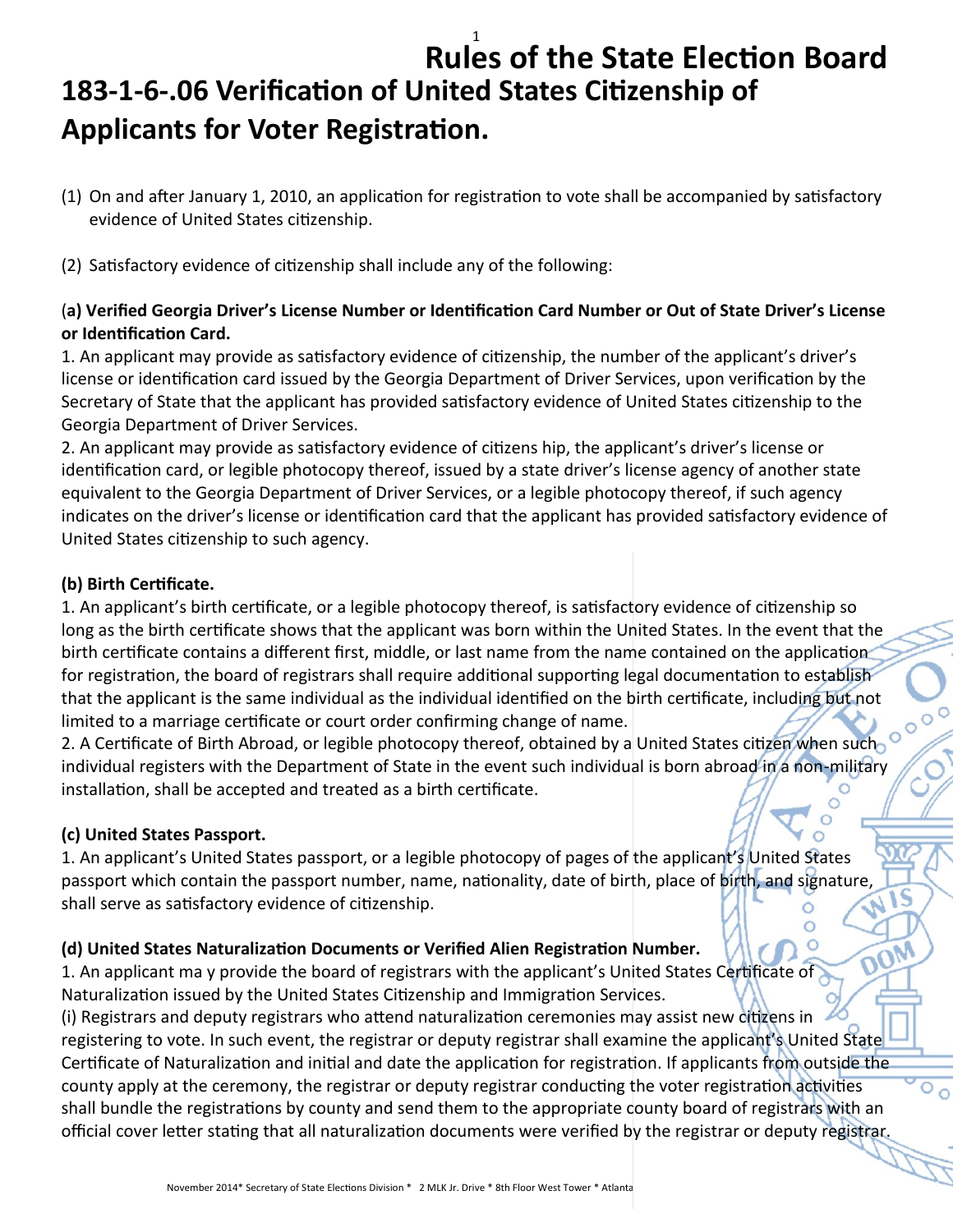### 1 **Rules of the State Election Board 183-1-6-.06 Verification of United States Citizenship of Applicants for Voter Registration.**

- (1) On and after January 1, 2010, an application for registration to vote shall be accompanied by satisfactory evidence of United States citizenship.
- (2) Satisfactory evidence of citizenship shall include any of the following:

#### (**a) Verified Georgia Driver's License Number or Identification Card Number or Out of State Driver's License or Identification Card.**

1. An applicant may provide as satisfactory evidence of citizenship, the number of the applicant's driver's license or identification card issued by the Georgia Department of Driver Services, upon verification by the Secretary of State that the applicant has provided satisfactory evidence of United States citizenship to the Georgia Department of Driver Services.

2. An applicant may provide as satisfactory evidence of citizens hip, the applicant's driver's license or identification card, or legible photocopy thereof, issued by a state driver's license agency of another state equivalent to the Georgia Department of Driver Services, or a legible photocopy thereof, if such agency indicates on the driver's license or identification card that the applicant has provided satisfactory evidence of United States citizenship to such agency.

#### **(b) Birth Certificate.**

1. An applicant's birth certificate, or a legible photocopy thereof, is satisfactory evidence of citizenship so long as the birth certificate shows that the applicant was born within the United States. In the event that the birth certificate contains a different first, middle, or last name from the name contained on the application for registration, the board of registrars shall require additional supporting legal documentation to establish that the applicant is the same individual as the individual identified on the birth certificate, including but not limited to a marriage certificate or court order confirming change of name.

 $\mathsf{C}$  $\circ$ 

١S

 $\overline{\circ}$ 

2. A Certificate of Birth Abroad, or legible photocopy thereof, obtained by a United States citizen when such individual registers with the Department of State in the event such individual is born abroad in a non-military installation, shall be accepted and treated as a birth certificate.

#### **(c) United States Passport.**

1. An applicant's United States passport, or a legible photocopy of pages of the applicant's United States passport which contain the passport number, name, nationality, date of birth, place of birth, and signature, shall serve as satisfactory evidence of citizenship.

### **(d) United States Naturalization Documents or Verified Alien Registration Number.**

1. An applicant ma y provide the board of registrars with the applicant's United States Certificate of Naturalization issued by the United States Citizenship and Immigration Services.

(i) Registrars and deputy registrars who attend naturalization ceremonies may assist new citizens in registering to vote. In such event, the registrar or deputy registrar shall examine the applicant's United State Certificate of Naturalization and initial and date the application for registration. If applicants from outside the county apply at the ceremony, the registrar or deputy registrar conducting the voter registration activities shall bundle the registrations by county and send them to the appropriate county board of registrars with an official cover letter stating that all naturalization documents were verified by the registrar or deputy registrar.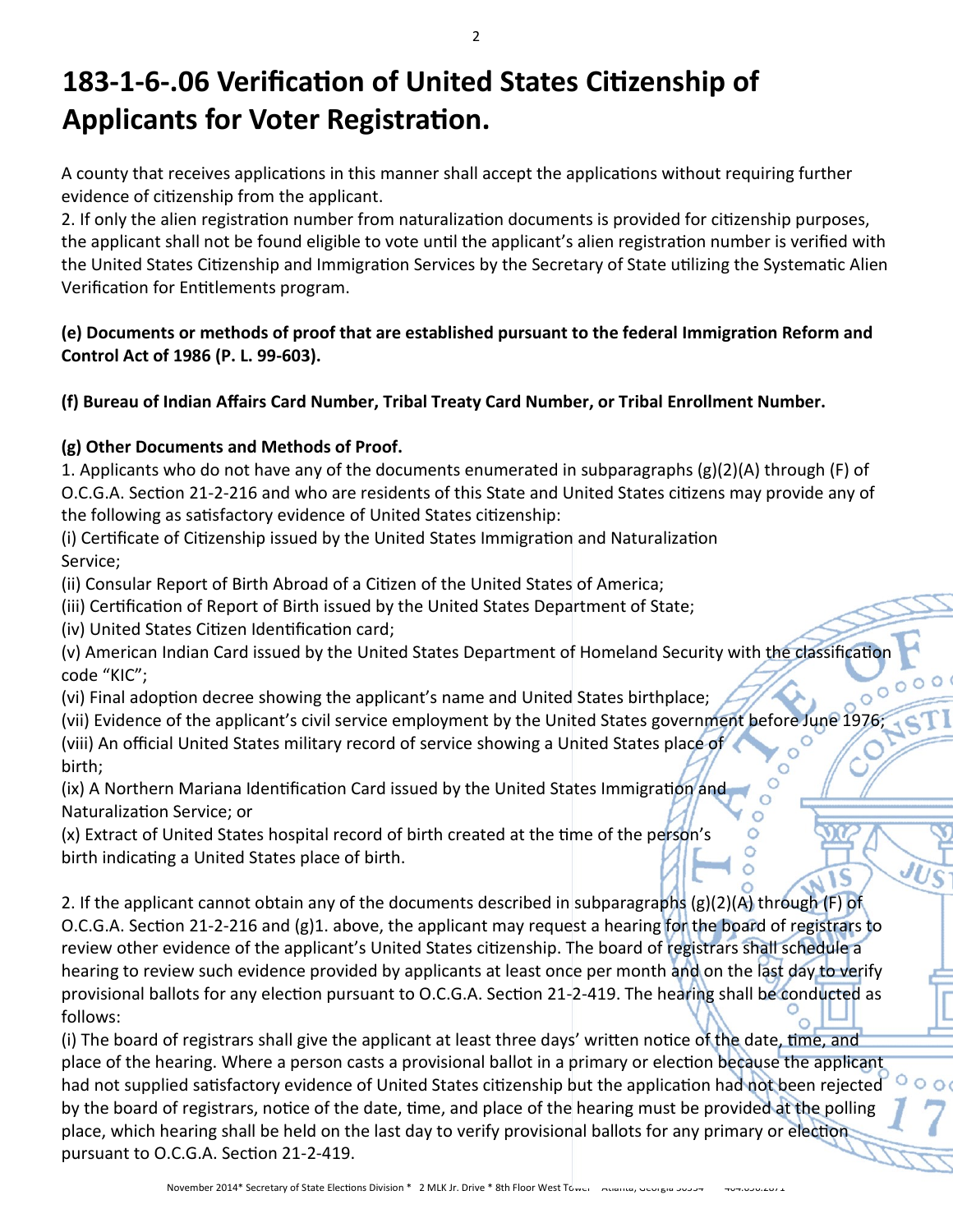# **183-1-6-.06 Verification of United States Citizenship of Applicants for Voter Registration.**

A county that receives applications in this manner shall accept the applications without requiring further evidence of citizenship from the applicant.

2. If only the alien registration number from naturalization documents is provided for citizenship purposes, the applicant shall not be found eligible to vote until the applicant's alien registration number is verified with the United States Citizenship and Immigration Services by the Secretary of State utilizing the Systematic Alien Verification for Entitlements program.

### **(e) Documents or methods of proof that are established pursuant to the federal Immigration Reform and Control Act of 1986 (P. L. 99-603).**

**(f) Bureau of Indian Affairs Card Number, Tribal Treaty Card Number, or Tribal Enrollment Number.**

### **(g) Other Documents and Methods of Proof.**

1. Applicants who do not have any of the documents enumerated in subparagraphs (g)(2)(A) through (F) of O.C.G.A. Section 21-2-216 and who are residents of this State and United States citizens may provide any of the following as satisfactory evidence of United States citizenship:

(i) Certificate of Citizenship issued by the United States Immigration and Naturalization Service;

(ii) Consular Report of Birth Abroad of a Citizen of the United States of America;

(iii) Certification of Report of Birth issued by the United States Department of State;

(iv) United States Citizen Identification card;

(v) American Indian Card issued by the United States Department of Homeland Security with the classificatio code "KIC";

(vi) Final adoption decree showing the applicant's name and United States birthplace;

(vii) Evidence of the applicant's civil service employment by the United States government before June 1976;

 $\circ$  $\circ$ 

(viii) An official United States military record of service showing a United States place of birth;

(ix) A Northern Mariana Identification Card issued by the United States Immigration and Naturalization Service; or

(x) Extract of United States hospital record of birth created at the time of the person's birth indicating a United States place of birth.

2. If the applicant cannot obtain any of the documents described in subparagraphs (g)(2)(A) through (F) of O.C.G.A. Section 21-2-216 and (g)1. above, the applicant may request a hearing for the board of registrars to review other evidence of the applicant's United States citizenship. The board of registrars shall schedule a hearing to review such evidence provided by applicants at least once per month and on the last day to verify provisional ballots for any election pursuant to O.C.G.A. Section 21-2-419. The hearing shall be conducted as follows:

(i) The board of registrars shall give the applicant at least three days' written notice of the date, time, and place of the hearing. Where a person casts a provisional ballot in a primary or election because the applicant had not supplied satisfactory evidence of United States citizenship but the application had not been rejected by the board of registrars, notice of the date, time, and place of the hearing must be provided at the polling place, which hearing shall be held on the last day to verify provisional ballots for any primary or election pursuant to O.C.G.A. Section 21-2-419.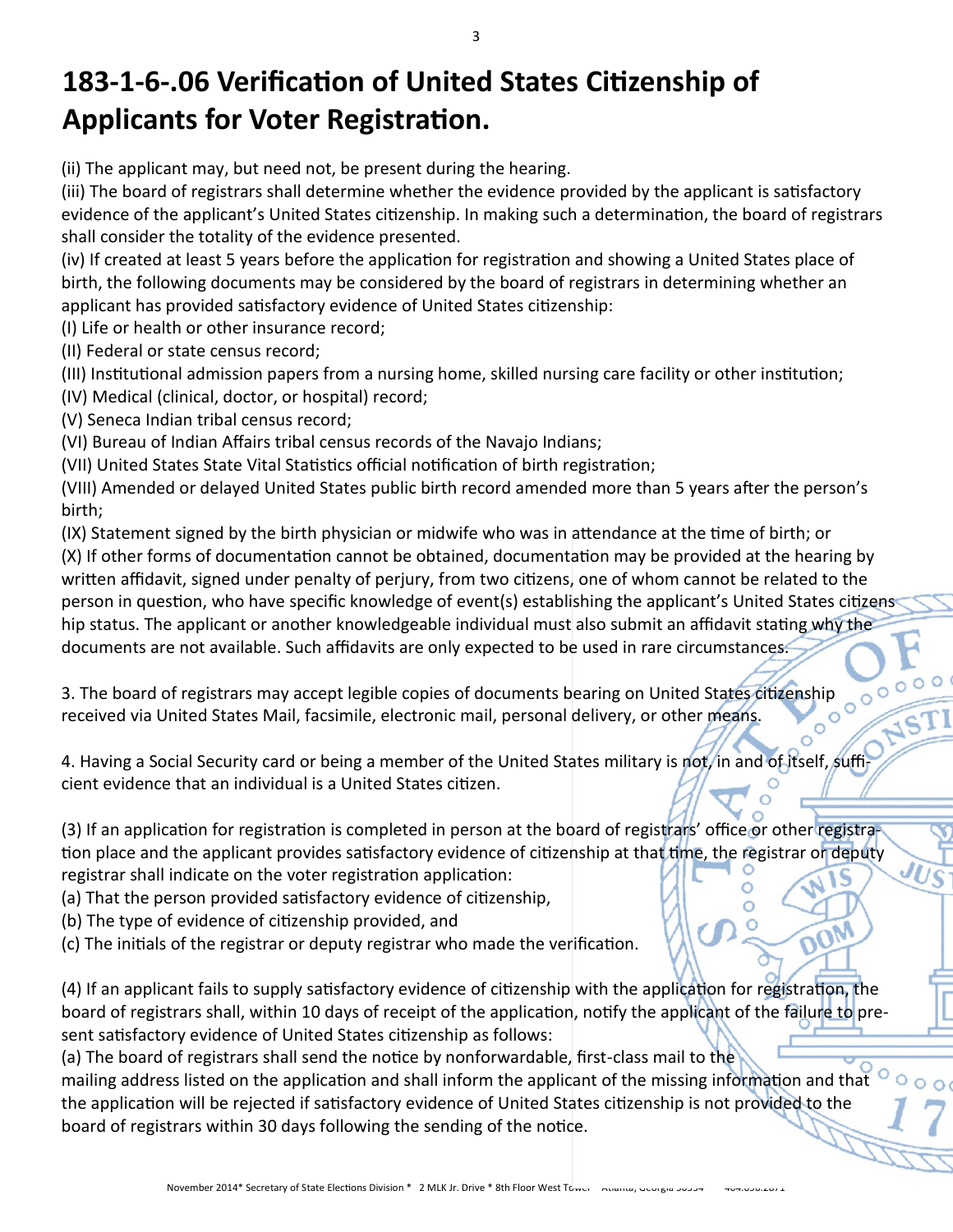# **183-1-6-.06 Verification of United States Citizenship of Applicants for Voter Registration.**

(ii) The applicant may, but need not, be present during the hearing.

(iii) The board of registrars shall determine whether the evidence provided by the applicant is satisfactory evidence of the applicant's United States citizenship. In making such a determination, the board of registrars shall consider the totality of the evidence presented.

(iv) If created at least 5 years before the application for registration and showing a United States place of birth, the following documents may be considered by the board of registrars in determining whether an applicant has provided satisfactory evidence of United States citizenship:

(I) Life or health or other insurance record;

(II) Federal or state census record;

(III) Institutional admission papers from a nursing home, skilled nursing care facility or other institution;

(IV) Medical (clinical, doctor, or hospital) record;

(V) Seneca Indian tribal census record;

(VI) Bureau of Indian Affairs tribal census records of the Navajo Indians;

(VII) United States State Vital Statistics official notification of birth registration;

(VIII) Amended or delayed United States public birth record amended more than 5 years after the person's birth;

(IX) Statement signed by the birth physician or midwife who was in attendance at the time of birth; or (X) If other forms of documentation cannot be obtained, documentation may be provided at the hearing by written affidavit, signed under penalty of perjury, from two citizens, one of whom cannot be related to the person in question, who have specific knowledge of event(s) establishing the applicant's United States citizens hip status. The applicant or another knowledgeable individual must also submit an affidavit stating why the documents are not available. Such affidavits are only expected to be used in rare circumstances.

3. The board of registrars may accept legible copies of documents bearing on United States citizenship<br>received via United States Mail, facsimile, electronic mail. personal delivery contributions received via United States Mail, facsimile, electronic mail, personal delivery, or other means.

4. Having a Social Security card or being a member of the United States military is not, in and of itself, sufficient evidence that an individual is a United States citizen.

(3) If an application for registration is completed in person at the board of registrars' office or other registration place and the applicant provides satisfactory evidence of citizenship at that time, the registrar on deputy registrar shall indicate on the voter registration application:

 $\circ$ 

(a) That the person provided satisfactory evidence of citizenship,

(b) The type of evidence of citizenship provided, and

(c) The initials of the registrar or deputy registrar who made the verification.

(4) If an applicant fails to supply satisfactory evidence of citizenship with the application for registration, the board of registrars shall, within 10 days of receipt of the application, notify the applicant of the failure to present satisfactory evidence of United States citizenship as follows:

(a) The board of registrars shall send the notice by nonforwardable, first-class mail to the mailing address listed on the application and shall inform the applicant of the missing information and that the application will be rejected if satisfactory evidence of United States citizenship is not provided to the board of registrars within 30 days following the sending of the notice.